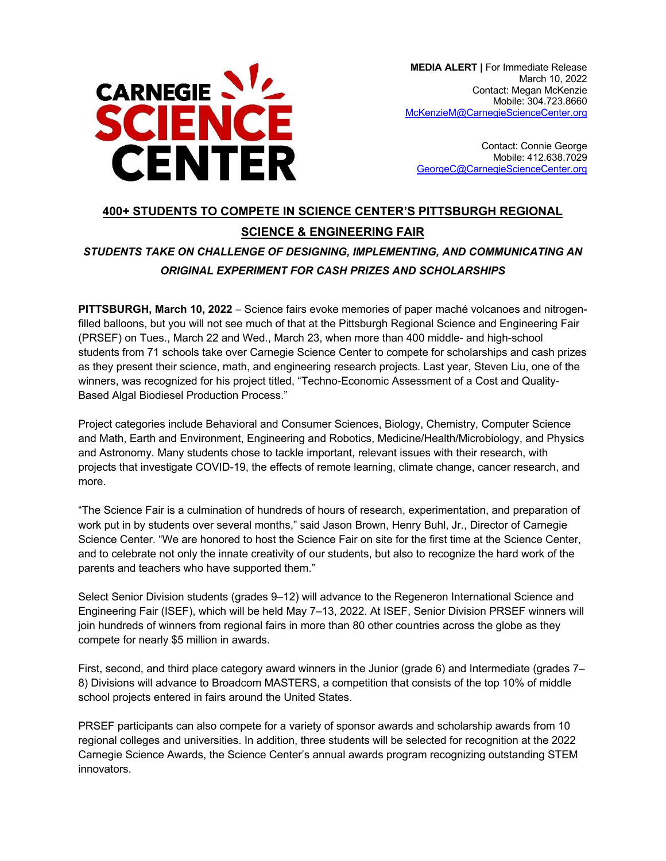

**MEDIA ALERT | For Immediate Release** March 10, 2022 Contact: Megan McKenzie Mobile: 304.723.8660 McKenzieM@CarnegieScienceCenter.org

Contact: Connie George Mobile: 412.638.7029 GeorgeC@CarnegieScienceCenter.org

# **400+ STUDENTS TO COMPETE IN SCIENCE CENTER'S PITTSBURGH REGIONAL SCIENCE & ENGINEERING FAIR**

# *STUDENTS TAKE ON CHALLENGE OF DESIGNING, IMPLEMENTING, AND COMMUNICATING AN ORIGINAL EXPERIMENT FOR CASH PRIZES AND SCHOLARSHIPS*

**PITTSBURGH, March 10, 2022** - Science fairs evoke memories of paper maché volcanoes and nitrogenfilled balloons, but you will not see much of that at the Pittsburgh Regional Science and Engineering Fair (PRSEF) on Tues., March 22 and Wed., March 23, when more than 400 middle- and high-school students from 71 schools take over Carnegie Science Center to compete for scholarships and cash prizes as they present their science, math, and engineering research projects. Last year, Steven Liu, one of the winners, was recognized for his project titled, "Techno-Economic Assessment of a Cost and Quality-Based Algal Biodiesel Production Process."

Project categories include Behavioral and Consumer Sciences, Biology, Chemistry, Computer Science and Math, Earth and Environment, Engineering and Robotics, Medicine/Health/Microbiology, and Physics and Astronomy. Many students chose to tackle important, relevant issues with their research, with projects that investigate COVID-19, the effects of remote learning, climate change, cancer research, and more.

"The Science Fair is a culmination of hundreds of hours of research, experimentation, and preparation of work put in by students over several months," said Jason Brown, Henry Buhl, Jr., Director of Carnegie Science Center. "We are honored to host the Science Fair on site for the first time at the Science Center, and to celebrate not only the innate creativity of our students, but also to recognize the hard work of the parents and teachers who have supported them."

Select Senior Division students (grades 9–12) will advance to the Regeneron International Science and Engineering Fair (ISEF), which will be held May 7–13, 2022. At ISEF, Senior Division PRSEF winners will join hundreds of winners from regional fairs in more than 80 other countries across the globe as they compete for nearly \$5 million in awards.

First, second, and third place category award winners in the Junior (grade 6) and Intermediate (grades 7– 8) Divisions will advance to Broadcom MASTERS, a competition that consists of the top 10% of middle school projects entered in fairs around the United States.

PRSEF participants can also compete for a variety of sponsor awards and scholarship awards from 10 regional colleges and universities. In addition, three students will be selected for recognition at the 2022 Carnegie Science Awards, the Science Center's annual awards program recognizing outstanding STEM innovators.